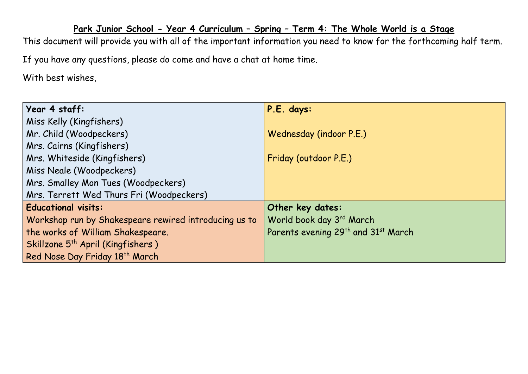## **Park Junior School - Year 4 Curriculum – Spring – Term 4: The Whole World is a Stage**

This document will provide you with all of the important information you need to know for the forthcoming half term.

If you have any questions, please do come and have a chat at home time.

With best wishes,

| Year 4 staff:                                         | P.E. days:                                                  |
|-------------------------------------------------------|-------------------------------------------------------------|
| Miss Kelly (Kingfishers)                              |                                                             |
| Mr. Child (Woodpeckers)                               | Wednesday (indoor P.E.)                                     |
| Mrs. Cairns (Kingfishers)                             |                                                             |
| Mrs. Whiteside (Kingfishers)                          | Friday (outdoor P.E.)                                       |
| Miss Neale (Woodpeckers)                              |                                                             |
| Mrs. Smalley Mon Tues (Woodpeckers)                   |                                                             |
| Mrs. Terrett Wed Thurs Fri (Woodpeckers)              |                                                             |
| <b>Educational visits:</b>                            | Other key dates:                                            |
| Workshop run by Shakespeare rewired introducing us to | World book day 3rd March                                    |
| the works of William Shakespeare.                     | Parents evening 29 <sup>th</sup> and 31 <sup>st</sup> March |
| Skillzone 5 <sup>th</sup> April (Kingfishers)         |                                                             |
| Red Nose Day Friday 18th March                        |                                                             |